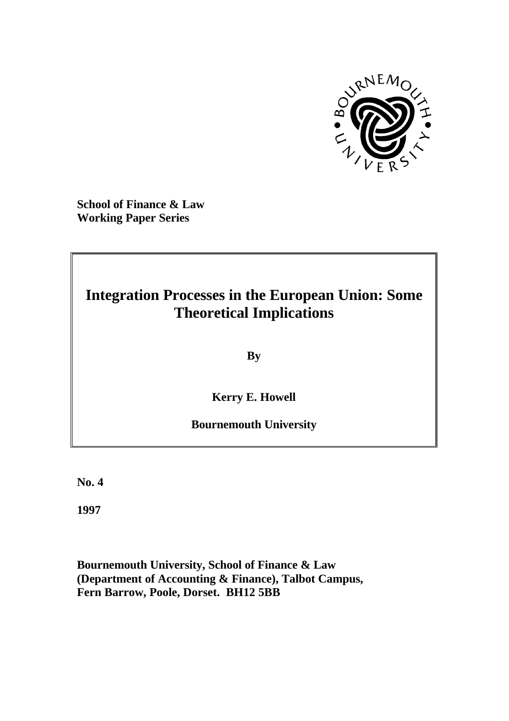

**School of Finance & Law Working Paper Series**

## **Integration Processes in the European Union: Some Theoretical Implications**

**By**

**Kerry E. Howell**

### **Bournemouth University**

**No. 4**

**1997**

**Bournemouth University, School of Finance & Law (Department of Accounting & Finance), Talbot Campus, Fern Barrow, Poole, Dorset. BH12 5BB**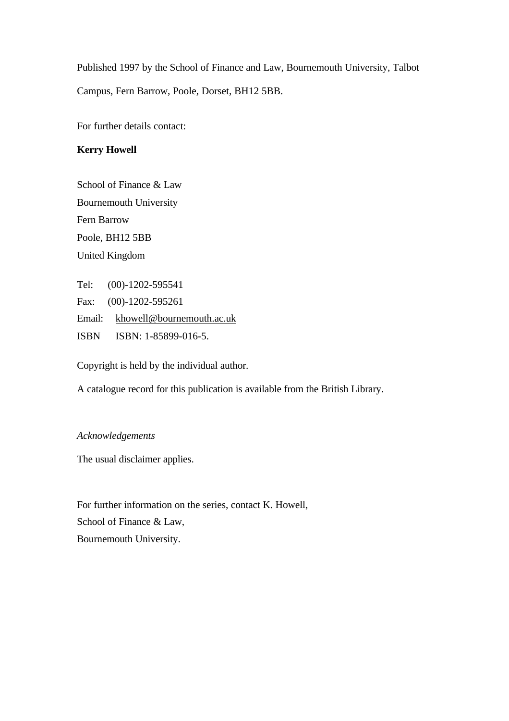Published 1997 by the School of Finance and Law, Bournemouth University, Talbot Campus, Fern Barrow, Poole, Dorset, BH12 5BB.

For further details contact:

#### **Kerry Howell**

School of Finance & Law Bournemouth University Fern Barrow Poole, BH12 5BB United Kingdom

Tel: (00)-1202-595541 Fax: (00)-1202-595261 Email: khowell@bournemouth.ac.uk ISBN ISBN: 1-85899-016-5.

Copyright is held by the individual author.

A catalogue record for this publication is available from the British Library.

#### *Acknowledgements*

The usual disclaimer applies.

For further information on the series, contact K. Howell, School of Finance & Law, Bournemouth University.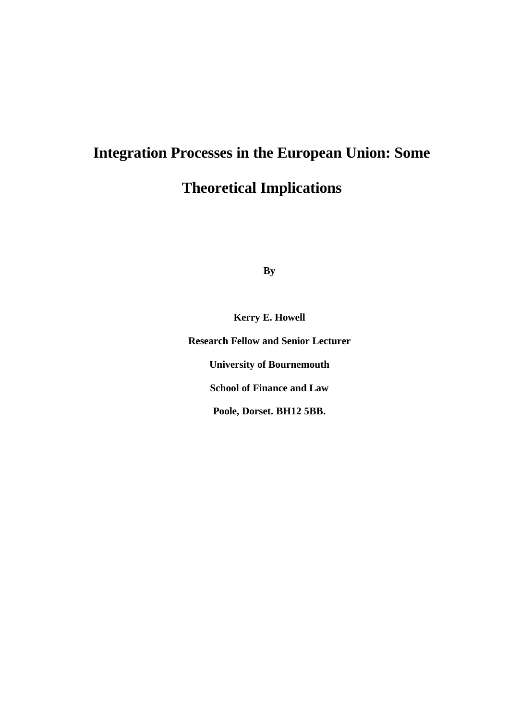# **Integration Processes in the European Union: Some Theoretical Implications**

**By**

**Kerry E. Howell Research Fellow and Senior Lecturer University of Bournemouth School of Finance and Law Poole, Dorset. BH12 5BB.**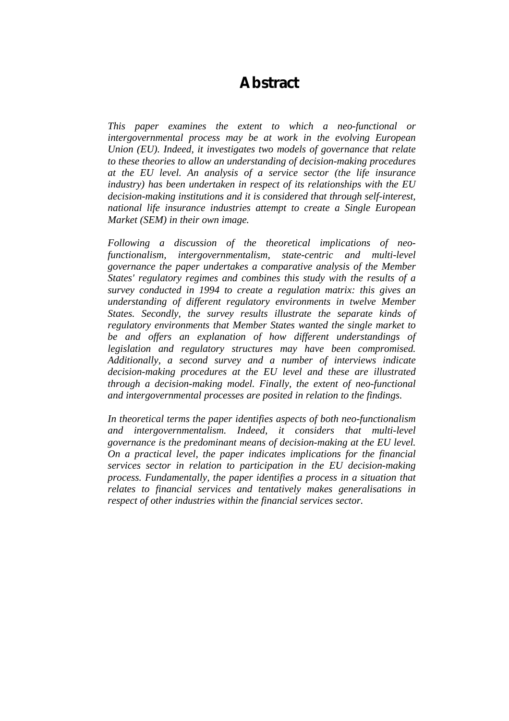## **Abstract**

*This paper examines the extent to which a neo-functional or intergovernmental process may be at work in the evolving European Union (EU). Indeed, it investigates two models of governance that relate to these theories to allow an understanding of decision-making procedures at the EU level. An analysis of a service sector (the life insurance industry) has been undertaken in respect of its relationships with the EU decision-making institutions and it is considered that through self-interest, national life insurance industries attempt to create a Single European Market (SEM) in their own image.*

*Following a discussion of the theoretical implications of neofunctionalism, intergovernmentalism, state-centric and multi-level governance the paper undertakes a comparative analysis of the Member States' regulatory regimes and combines this study with the results of a survey conducted in 1994 to create a regulation matrix: this gives an understanding of different regulatory environments in twelve Member States. Secondly, the survey results illustrate the separate kinds of regulatory environments that Member States wanted the single market to be and offers an explanation of how different understandings of legislation and regulatory structures may have been compromised. Additionally, a second survey and a number of interviews indicate decision-making procedures at the EU level and these are illustrated through a decision-making model. Finally, the extent of neo-functional and intergovernmental processes are posited in relation to the findings.*

*In theoretical terms the paper identifies aspects of both neo-functionalism and intergovernmentalism. Indeed, it considers that multi-level governance is the predominant means of decision-making at the EU level. On a practical level, the paper indicates implications for the financial services sector in relation to participation in the EU decision-making process. Fundamentally, the paper identifies a process in a situation that relates to financial services and tentatively makes generalisations in respect of other industries within the financial services sector.*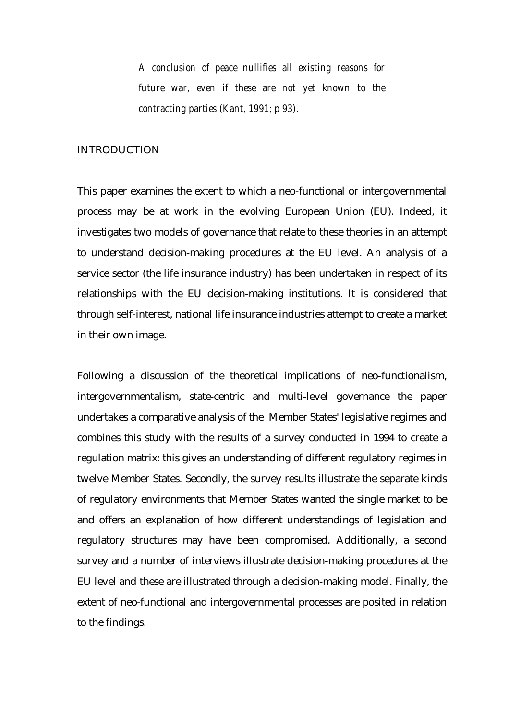*A conclusion of peace nullifies all existing reasons for future war, even if these are not yet known to the contracting parties (Kant, 1991; p 93).*

#### INTRODUCTION

This paper examines the extent to which a neo-functional or intergovernmental process may be at work in the evolving European Union (EU). Indeed, it investigates two models of governance that relate to these theories in an attempt to understand decision-making procedures at the EU level. An analysis of a service sector (the life insurance industry) has been undertaken in respect of its relationships with the EU decision-making institutions. It is considered that through self-interest, national life insurance industries attempt to create a market in their own image.

Following a discussion of the theoretical implications of neo-functionalism, intergovernmentalism, state-centric and multi-level governance the paper undertakes a comparative analysis of the Member States' legislative regimes and combines this study with the results of a survey conducted in 1994 to create a regulation matrix: this gives an understanding of different regulatory regimes in twelve Member States. Secondly, the survey results illustrate the separate kinds of regulatory environments that Member States wanted the single market to be and offers an explanation of how different understandings of legislation and regulatory structures may have been compromised. Additionally, a second survey and a number of interviews illustrate decision-making procedures at the EU level and these are illustrated through a decision-making model. Finally, the extent of neo-functional and intergovernmental processes are posited in relation to the findings.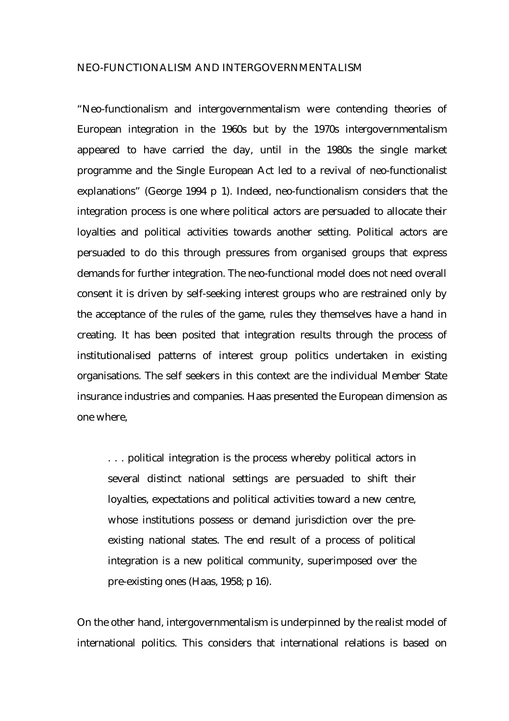#### NEO-FUNCTIONALISM AND INTERGOVERNMENTALISM

"Neo-functionalism and intergovernmentalism were contending theories of European integration in the 1960s but by the 1970s intergovernmentalism appeared to have carried the day, until in the 1980s the single market programme and the Single European Act led to a revival of neo-functionalist explanations" (George 1994 p 1). Indeed, neo-functionalism considers that the integration process is one where political actors are persuaded to allocate their loyalties and political activities towards another setting. Political actors are persuaded to do this through pressures from organised groups that express demands for further integration. The neo-functional model does not need overall consent it is driven by self-seeking interest groups who are restrained only by the acceptance of the rules of the game, rules they themselves have a hand in creating. It has been posited that integration results through the process of institutionalised patterns of interest group politics undertaken in existing organisations. The self seekers in this context are the individual Member State insurance industries and companies. Haas presented the European dimension as one where,

. . . political integration is the process whereby political actors in several distinct national settings are persuaded to shift their loyalties, expectations and political activities toward a new centre, whose institutions possess or demand jurisdiction over the preexisting national states. The end result of a process of political integration is a new political community, superimposed over the pre-existing ones (Haas, 1958; p 16).

On the other hand, intergovernmentalism is underpinned by the realist model of international politics. This considers that international relations is based on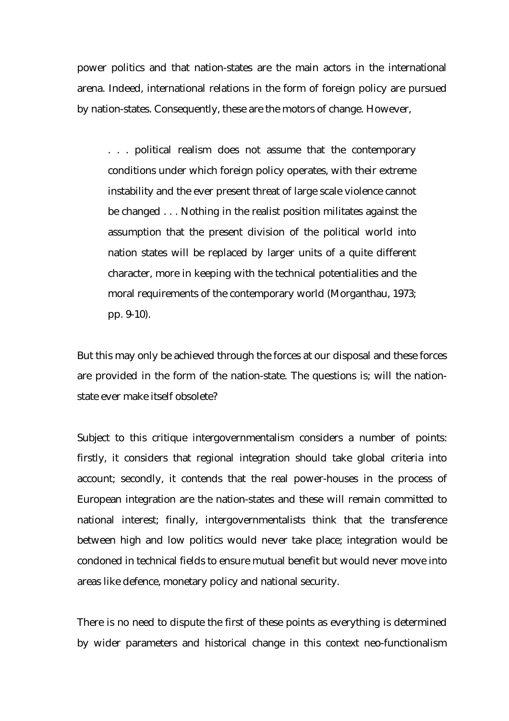power politics and that nation-states are the main actors in the international arena. Indeed, international relations in the form of foreign policy are pursued by nation-states. Consequently, these are the motors of change. However,

. . . political realism does not assume that the contemporary conditions under which foreign policy operates, with their extreme instability and the ever present threat of large scale violence cannot be changed . . . Nothing in the realist position militates against the assumption that the present division of the political world into nation states will be replaced by larger units of a quite different character, more in keeping with the technical potentialities and the moral requirements of the contemporary world (Morganthau, 1973; pp. 9-10).

But this may only be achieved through the forces at our disposal and these forces are provided in the form of the nation-state. The questions is; will the nationstate ever make itself obsolete?

Subject to this critique intergovernmentalism considers a number of points: firstly, it considers that regional integration should take global criteria into account; secondly, it contends that the real power-houses in the process of European integration are the nation-states and these will remain committed to national interest; finally, intergovernmentalists think that the transference between high and low politics would never take place; integration would be condoned in technical fields to ensure mutual benefit but would never move into areas like defence, monetary policy and national security.

There is no need to dispute the first of these points as everything is determined by wider parameters and historical change in this context neo-functionalism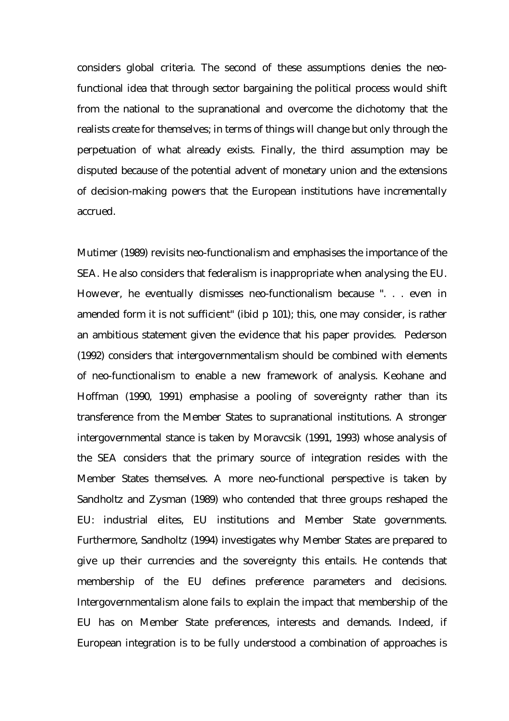considers global criteria. The second of these assumptions denies the neofunctional idea that through sector bargaining the political process would shift from the national to the supranational and overcome the dichotomy that the realists create for themselves; in terms of things will change but only through the perpetuation of what already exists. Finally, the third assumption may be disputed because of the potential advent of monetary union and the extensions of decision-making powers that the European institutions have incrementally accrued.

Mutimer (1989) revisits neo-functionalism and emphasises the importance of the SEA. He also considers that federalism is inappropriate when analysing the EU. However, he eventually dismisses neo-functionalism because ". . . even in amended form it is not sufficient" (ibid p 101); this, one may consider, is rather an ambitious statement given the evidence that his paper provides. Pederson (1992) considers that intergovernmentalism should be combined with elements of neo-functionalism to enable a new framework of analysis. Keohane and Hoffman (1990, 1991) emphasise a pooling of sovereignty rather than its transference from the Member States to supranational institutions. A stronger intergovernmental stance is taken by Moravcsik (1991, 1993) whose analysis of the SEA considers that the primary source of integration resides with the Member States themselves. A more neo-functional perspective is taken by Sandholtz and Zysman (1989) who contended that three groups reshaped the EU: industrial elites, EU institutions and Member State governments. Furthermore, Sandholtz (1994) investigates why Member States are prepared to give up their currencies and the sovereignty this entails. He contends that membership of the EU defines preference parameters and decisions. Intergovernmentalism alone fails to explain the impact that membership of the EU has on Member State preferences, interests and demands. Indeed, if European integration is to be fully understood a combination of approaches is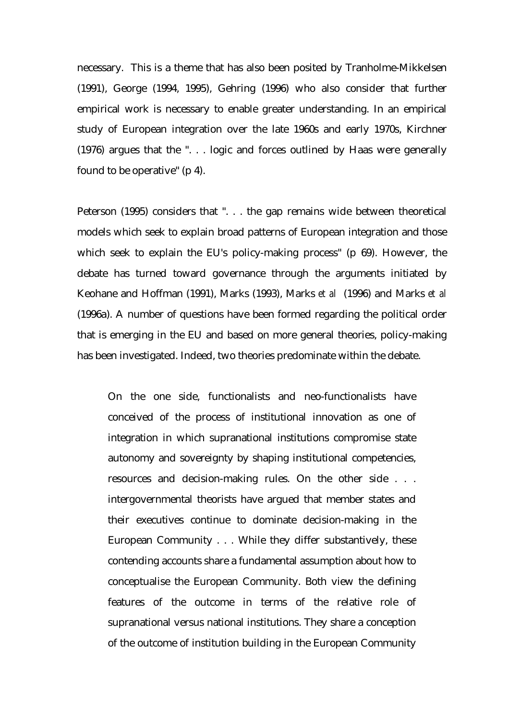necessary. This is a theme that has also been posited by Tranholme-Mikkelsen (1991), George (1994, 1995), Gehring (1996) who also consider that further empirical work is necessary to enable greater understanding. In an empirical study of European integration over the late 1960s and early 1970s, Kirchner (1976) argues that the ". . . logic and forces outlined by Haas were generally found to be operative" (p 4).

Peterson (1995) considers that ". . . the gap remains wide between theoretical models which seek to explain broad patterns of European integration and those which seek to explain the EU's policy-making process" (p 69). However, the debate has turned toward governance through the arguments initiated by Keohane and Hoffman (1991), Marks (1993), Marks *et al* (1996) and Marks *et al* (1996a). A number of questions have been formed regarding the political order that is emerging in the EU and based on more general theories, policy-making has been investigated. Indeed, two theories predominate within the debate.

On the one side, functionalists and neo-functionalists have conceived of the process of institutional innovation as one of integration in which supranational institutions compromise state autonomy and sovereignty by shaping institutional competencies, resources and decision-making rules. On the other side . . . intergovernmental theorists have argued that member states and their executives continue to dominate decision-making in the European Community . . . While they differ substantively, these contending accounts share a fundamental assumption about how to conceptualise the European Community. Both view the defining features of the outcome in terms of the relative role of supranational versus national institutions. They share a conception of the outcome of institution building in the European Community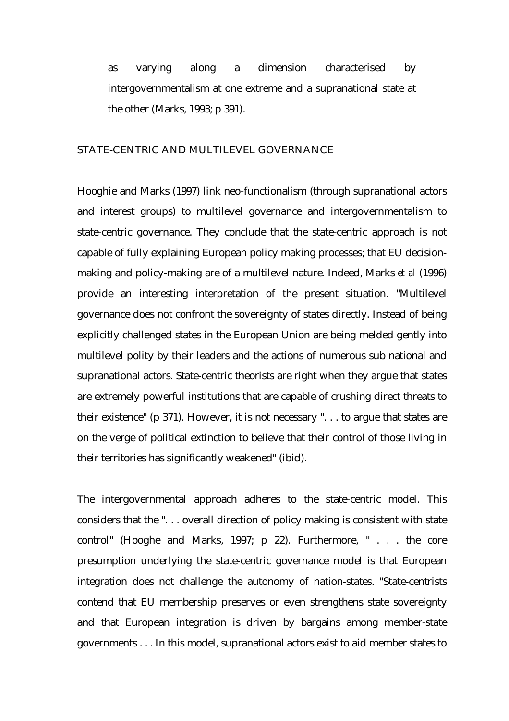as varying along a dimension characterised by intergovernmentalism at one extreme and a supranational state at the other (Marks, 1993; p 391).

#### STATE-CENTRIC AND MULTILEVEL GOVERNANCE

Hooghie and Marks (1997) link neo-functionalism (through supranational actors and interest groups) to multilevel governance and intergovernmentalism to state-centric governance. They conclude that the state-centric approach is not capable of fully explaining European policy making processes; that EU decisionmaking and policy-making are of a multilevel nature. Indeed, Marks *et al* (1996) provide an interesting interpretation of the present situation. "Multilevel governance does not confront the sovereignty of states directly. Instead of being explicitly challenged states in the European Union are being melded gently into multilevel polity by their leaders and the actions of numerous sub national and supranational actors. State-centric theorists are right when they argue that states are extremely powerful institutions that are capable of crushing direct threats to their existence" (p 371). However, it is not necessary ". . . to argue that states are on the verge of political extinction to believe that their control of those living in their territories has significantly weakened" (ibid).

The intergovernmental approach adheres to the state-centric model. This considers that the ". . . overall direction of policy making is consistent with state control" (Hooghe and Marks, 1997; p 22). Furthermore, " . . . the core presumption underlying the state-centric governance model is that European integration does not challenge the autonomy of nation-states. "State-centrists contend that EU membership preserves or even strengthens state sovereignty and that European integration is driven by bargains among member-state governments . . . In this model, supranational actors exist to aid member states to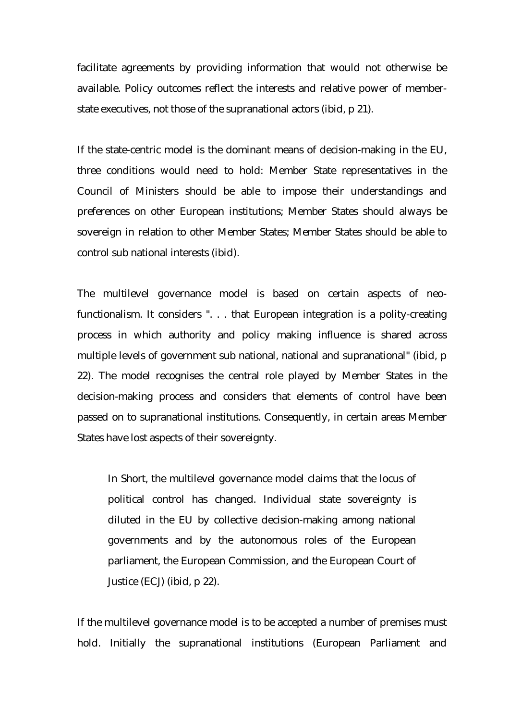facilitate agreements by providing information that would not otherwise be available. Policy outcomes reflect the interests and relative power of memberstate executives, not those of the supranational actors (ibid, p 21).

If the state-centric model is the dominant means of decision-making in the EU, three conditions would need to hold: Member State representatives in the Council of Ministers should be able to impose their understandings and preferences on other European institutions; Member States should always be sovereign in relation to other Member States; Member States should be able to control sub national interests (ibid).

The multilevel governance model is based on certain aspects of neofunctionalism. It considers ". . . that European integration is a polity-creating process in which authority and policy making influence is shared across multiple levels of government sub national, national and supranational" (ibid, p 22). The model recognises the central role played by Member States in the decision-making process and considers that elements of control have been passed on to supranational institutions. Consequently, in certain areas Member States have lost aspects of their sovereignty.

In Short, the multilevel governance model claims that the locus of political control has changed. Individual state sovereignty is diluted in the EU by collective decision-making among national governments and by the autonomous roles of the European parliament, the European Commission, and the European Court of Justice (ECJ) (ibid, p 22).

If the multilevel governance model is to be accepted a number of premises must hold. Initially the supranational institutions (European Parliament and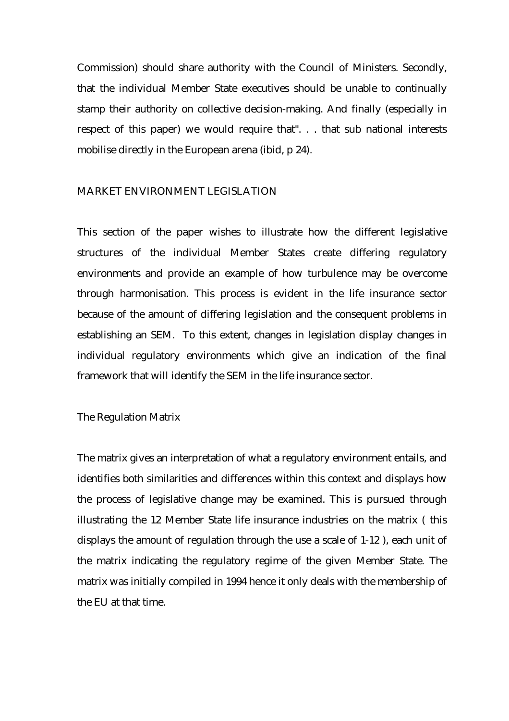Commission) should share authority with the Council of Ministers. Secondly, that the individual Member State executives should be unable to continually stamp their authority on collective decision-making. And finally (especially in respect of this paper) we would require that". . . that sub national interests mobilise directly in the European arena (ibid, p 24).

#### MARKET ENVIRONMENT LEGISLATION

This section of the paper wishes to illustrate how the different legislative structures of the individual Member States create differing regulatory environments and provide an example of how turbulence may be overcome through harmonisation. This process is evident in the life insurance sector because of the amount of differing legislation and the consequent problems in establishing an SEM. To this extent, changes in legislation display changes in individual regulatory environments which give an indication of the final framework that will identify the SEM in the life insurance sector.

The Regulation Matrix

The matrix gives an interpretation of what a regulatory environment entails, and identifies both similarities and differences within this context and displays how the process of legislative change may be examined. This is pursued through illustrating the 12 Member State life insurance industries on the matrix ( this displays the amount of regulation through the use a scale of 1-12 ), each unit of the matrix indicating the regulatory regime of the given Member State. The matrix was initially compiled in 1994 hence it only deals with the membership of the EU at that time.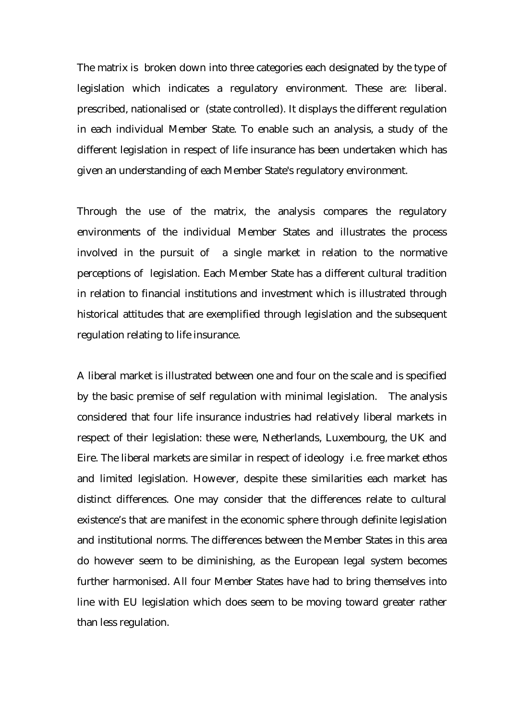The matrix is broken down into three categories each designated by the type of legislation which indicates a regulatory environment. These are: liberal. prescribed, nationalised or (state controlled). It displays the different regulation in each individual Member State. To enable such an analysis, a study of the different legislation in respect of life insurance has been undertaken which has given an understanding of each Member State's regulatory environment.

Through the use of the matrix, the analysis compares the regulatory environments of the individual Member States and illustrates the process involved in the pursuit of a single market in relation to the normative perceptions of legislation. Each Member State has a different cultural tradition in relation to financial institutions and investment which is illustrated through historical attitudes that are exemplified through legislation and the subsequent regulation relating to life insurance.

A liberal market is illustrated between one and four on the scale and is specified by the basic premise of self regulation with minimal legislation. The analysis considered that four life insurance industries had relatively liberal markets in respect of their legislation: these were, Netherlands, Luxembourg, the UK and Eire. The liberal markets are similar in respect of ideology i.e. free market ethos and limited legislation. However, despite these similarities each market has distinct differences. One may consider that the differences relate to cultural existence's that are manifest in the economic sphere through definite legislation and institutional norms. The differences between the Member States in this area do however seem to be diminishing, as the European legal system becomes further harmonised. All four Member States have had to bring themselves into line with EU legislation which does seem to be moving toward greater rather than less regulation.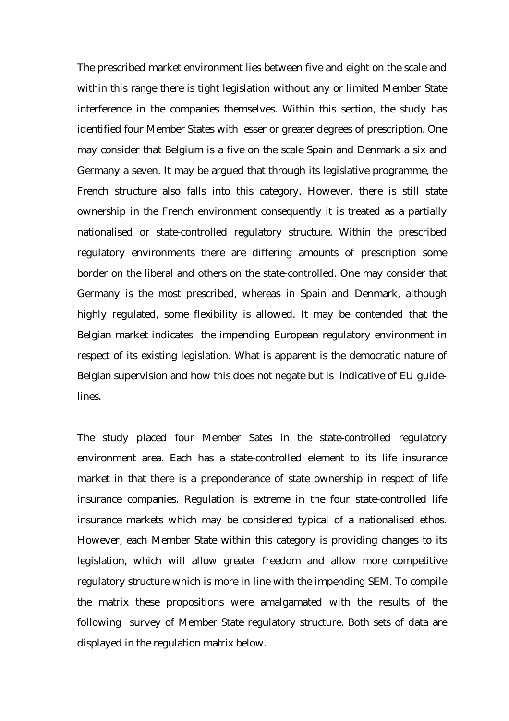The prescribed market environment lies between five and eight on the scale and within this range there is tight legislation without any or limited Member State interference in the companies themselves. Within this section, the study has identified four Member States with lesser or greater degrees of prescription. One may consider that Belgium is a five on the scale Spain and Denmark a six and Germany a seven. It may be argued that through its legislative programme, the French structure also falls into this category. However, there is still state ownership in the French environment consequently it is treated as a partially nationalised or state-controlled regulatory structure. Within the prescribed regulatory environments there are differing amounts of prescription some border on the liberal and others on the state-controlled. One may consider that Germany is the most prescribed, whereas in Spain and Denmark, although highly regulated, some flexibility is allowed. It may be contended that the Belgian market indicates the impending European regulatory environment in respect of its existing legislation. What is apparent is the democratic nature of Belgian supervision and how this does not negate but is indicative of EU guidelines.

The study placed four Member Sates in the state-controlled regulatory environment area. Each has a state-controlled element to its life insurance market in that there is a preponderance of state ownership in respect of life insurance companies. Regulation is extreme in the four state-controlled life insurance markets which may be considered typical of a nationalised ethos. However, each Member State within this category is providing changes to its legislation, which will allow greater freedom and allow more competitive regulatory structure which is more in line with the impending SEM. To compile the matrix these propositions were amalgamated with the results of the following survey of Member State regulatory structure. Both sets of data are displayed in the regulation matrix below.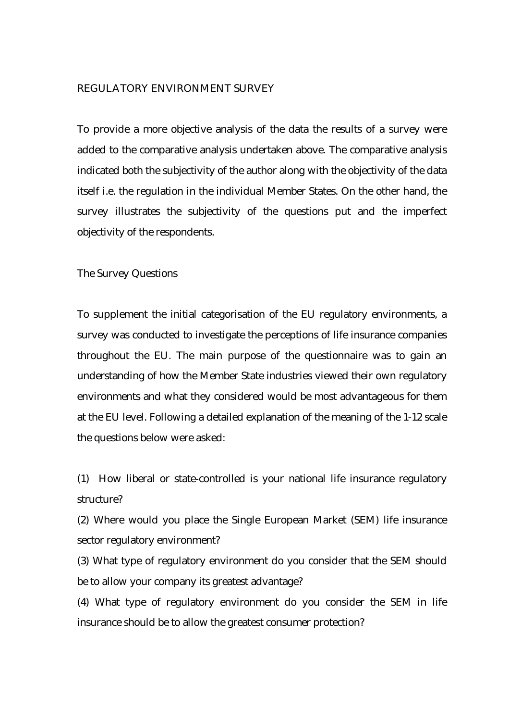#### REGULATORY ENVIRONMENT SURVEY

To provide a more objective analysis of the data the results of a survey were added to the comparative analysis undertaken above. The comparative analysis indicated both the subjectivity of the author along with the objectivity of the data itself i.e. the regulation in the individual Member States. On the other hand, the survey illustrates the subjectivity of the questions put and the imperfect objectivity of the respondents.

The Survey Questions

To supplement the initial categorisation of the EU regulatory environments, a survey was conducted to investigate the perceptions of life insurance companies throughout the EU. The main purpose of the questionnaire was to gain an understanding of how the Member State industries viewed their own regulatory environments and what they considered would be most advantageous for them at the EU level. Following a detailed explanation of the meaning of the 1-12 scale the questions below were asked:

(1) How liberal or state-controlled is your national life insurance regulatory structure?

(2) Where would you place the Single European Market (SEM) life insurance sector regulatory environment?

(3) What type of regulatory environment do you consider that the SEM should be to allow your company its greatest advantage?

(4) What type of regulatory environment do you consider the SEM in life insurance should be to allow the greatest consumer protection?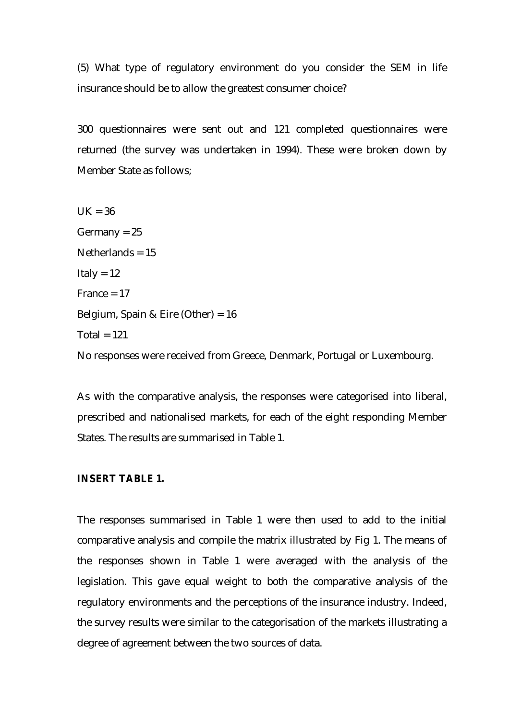(5) What type of regulatory environment do you consider the SEM in life insurance should be to allow the greatest consumer choice?

300 questionnaires were sent out and 121 completed questionnaires were returned (the survey was undertaken in 1994). These were broken down by Member State as follows;

 $UK = 36$  $Germany = 25$ Netherlands  $= 15$ Italy  $= 12$ France  $= 17$ Belgium, Spain & Eire (Other) = 16 Total =  $121$ No responses were received from Greece, Denmark, Portugal or Luxembourg.

As with the comparative analysis, the responses were categorised into liberal, prescribed and nationalised markets, for each of the eight responding Member States. The results are summarised in Table 1.

#### **INSERT TABLE 1.**

The responses summarised in Table 1 were then used to add to the initial comparative analysis and compile the matrix illustrated by Fig 1. The means of the responses shown in Table 1 were averaged with the analysis of the legislation. This gave equal weight to both the comparative analysis of the regulatory environments and the perceptions of the insurance industry. Indeed, the survey results were similar to the categorisation of the markets illustrating a degree of agreement between the two sources of data.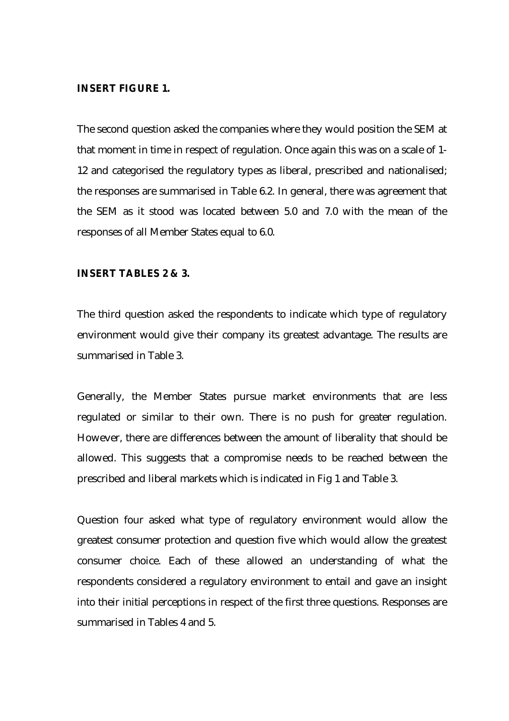#### **INSERT FIGURE 1.**

The second question asked the companies where they would position the SEM at that moment in time in respect of regulation. Once again this was on a scale of 1- 12 and categorised the regulatory types as liberal, prescribed and nationalised; the responses are summarised in Table 6.2. In general, there was agreement that the SEM as it stood was located between 5.0 and 7.0 with the mean of the responses of all Member States equal to 6.0.

#### **INSERT TABLES 2 & 3.**

The third question asked the respondents to indicate which type of regulatory environment would give their company its greatest advantage. The results are summarised in Table 3.

Generally, the Member States pursue market environments that are less regulated or similar to their own. There is no push for greater regulation. However, there are differences between the amount of liberality that should be allowed. This suggests that a compromise needs to be reached between the prescribed and liberal markets which is indicated in Fig 1 and Table 3.

Question four asked what type of regulatory environment would allow the greatest consumer protection and question five which would allow the greatest consumer choice. Each of these allowed an understanding of what the respondents considered a regulatory environment to entail and gave an insight into their initial perceptions in respect of the first three questions. Responses are summarised in Tables 4 and 5.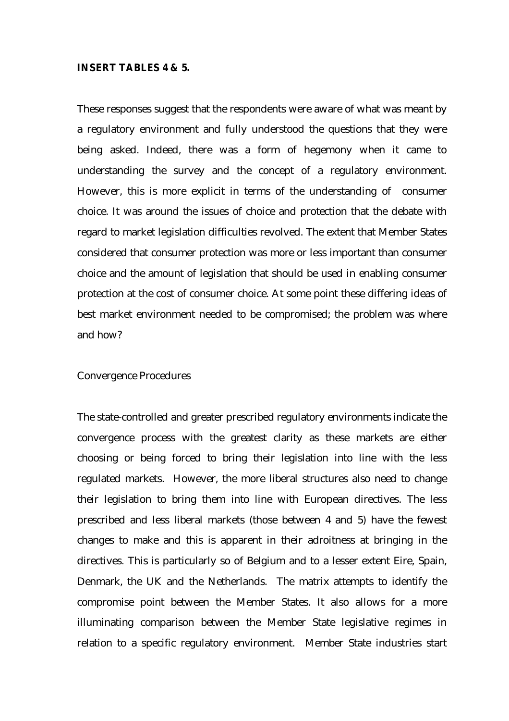#### **INSERT TABLES 4 & 5.**

These responses suggest that the respondents were aware of what was meant by a regulatory environment and fully understood the questions that they were being asked. Indeed, there was a form of hegemony when it came to understanding the survey and the concept of a regulatory environment. However, this is more explicit in terms of the understanding of consumer choice. It was around the issues of choice and protection that the debate with regard to market legislation difficulties revolved. The extent that Member States considered that consumer protection was more or less important than consumer choice and the amount of legislation that should be used in enabling consumer protection at the cost of consumer choice. At some point these differing ideas of best market environment needed to be compromised; the problem was where and how?

#### Convergence Procedures

The state-controlled and greater prescribed regulatory environments indicate the convergence process with the greatest clarity as these markets are either choosing or being forced to bring their legislation into line with the less regulated markets. However, the more liberal structures also need to change their legislation to bring them into line with European directives. The less prescribed and less liberal markets (those between 4 and 5) have the fewest changes to make and this is apparent in their adroitness at bringing in the directives. This is particularly so of Belgium and to a lesser extent Eire, Spain, Denmark, the UK and the Netherlands. The matrix attempts to identify the compromise point between the Member States. It also allows for a more illuminating comparison between the Member State legislative regimes in relation to a specific regulatory environment. Member State industries start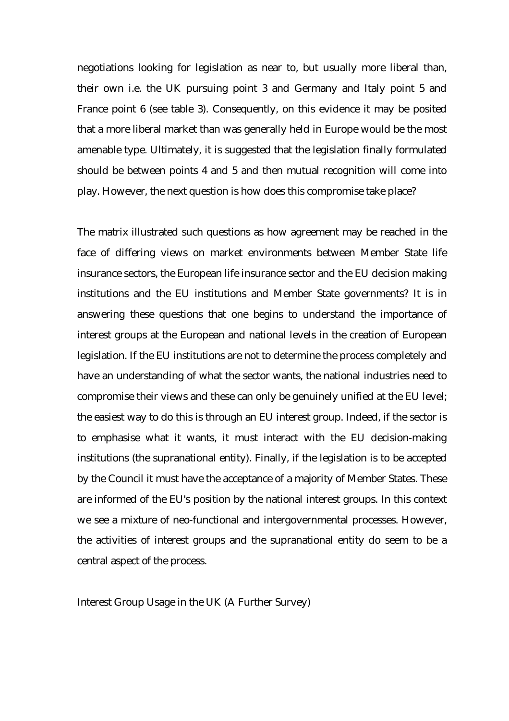negotiations looking for legislation as near to, but usually more liberal than, their own i.e. the UK pursuing point 3 and Germany and Italy point 5 and France point 6 (see table 3). Consequently, on this evidence it may be posited that a more liberal market than was generally held in Europe would be the most amenable type. Ultimately, it is suggested that the legislation finally formulated should be between points 4 and 5 and then mutual recognition will come into play. However, the next question is how does this compromise take place?

The matrix illustrated such questions as how agreement may be reached in the face of differing views on market environments between Member State life insurance sectors, the European life insurance sector and the EU decision making institutions and the EU institutions and Member State governments? It is in answering these questions that one begins to understand the importance of interest groups at the European and national levels in the creation of European legislation. If the EU institutions are not to determine the process completely and have an understanding of what the sector wants, the national industries need to compromise their views and these can only be genuinely unified at the EU level; the easiest way to do this is through an EU interest group. Indeed, if the sector is to emphasise what it wants, it must interact with the EU decision-making institutions (the supranational entity). Finally, if the legislation is to be accepted by the Council it must have the acceptance of a majority of Member States. These are informed of the EU's position by the national interest groups. In this context we see a mixture of neo-functional and intergovernmental processes. However, the activities of interest groups and the supranational entity do seem to be a central aspect of the process.

Interest Group Usage in the UK (A Further Survey)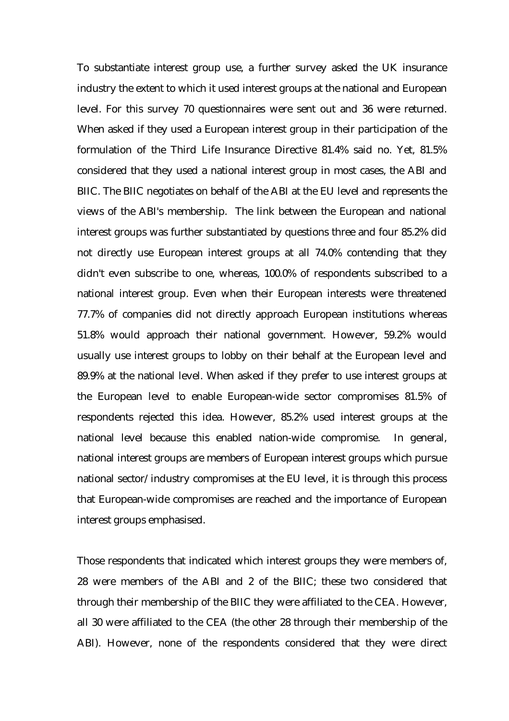To substantiate interest group use, a further survey asked the UK insurance industry the extent to which it used interest groups at the national and European level. For this survey 70 questionnaires were sent out and 36 were returned. When asked if they used a European interest group in their participation of the formulation of the Third Life Insurance Directive 81.4% said no. Yet, 81.5% considered that they used a national interest group in most cases, the ABI and BIIC. The BIIC negotiates on behalf of the ABI at the EU level and represents the views of the ABI's membership. The link between the European and national interest groups was further substantiated by questions three and four 85.2% did not directly use European interest groups at all 74.0% contending that they didn't even subscribe to one, whereas, 100.0% of respondents subscribed to a national interest group. Even when their European interests were threatened 77.7% of companies did not directly approach European institutions whereas 51.8% would approach their national government. However, 59.2% would usually use interest groups to lobby on their behalf at the European level and 89.9% at the national level. When asked if they prefer to use interest groups at the European level to enable European-wide sector compromises 81.5% of respondents rejected this idea. However, 85.2% used interest groups at the national level because this enabled nation-wide compromise. In general, national interest groups are members of European interest groups which pursue national sector/industry compromises at the EU level, it is through this process that European-wide compromises are reached and the importance of European interest groups emphasised.

Those respondents that indicated which interest groups they were members of, 28 were members of the ABI and 2 of the BIIC; these two considered that through their membership of the BIIC they were affiliated to the CEA. However, all 30 were affiliated to the CEA (the other 28 through their membership of the ABI). However, none of the respondents considered that they were direct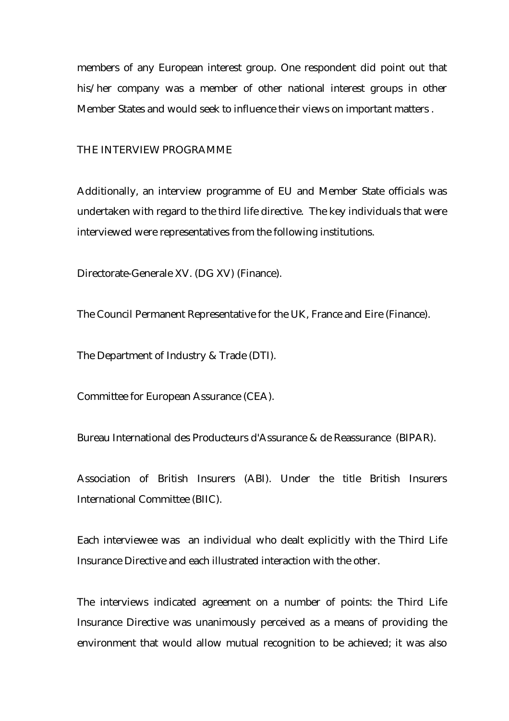members of any European interest group. One respondent did point out that his/her company was a member of other national interest groups in other Member States and would seek to influence their views on important matters .

#### THE INTERVIEW PROGRAMME

Additionally, an interview programme of EU and Member State officials was undertaken with regard to the third life directive. The key individuals that were interviewed were representatives from the following institutions.

Directorate-Generale XV. (DG XV) (Finance).

The Council Permanent Representative for the UK, France and Eire (Finance).

The Department of Industry & Trade (DTI).

Committee for European Assurance (CEA).

Bureau International des Producteurs d'Assurance & de Reassurance (BIPAR).

Association of British Insurers (ABI). Under the title British Insurers International Committee (BIIC).

Each interviewee was an individual who dealt explicitly with the Third Life Insurance Directive and each illustrated interaction with the other.

The interviews indicated agreement on a number of points: the Third Life Insurance Directive was unanimously perceived as a means of providing the environment that would allow mutual recognition to be achieved; it was also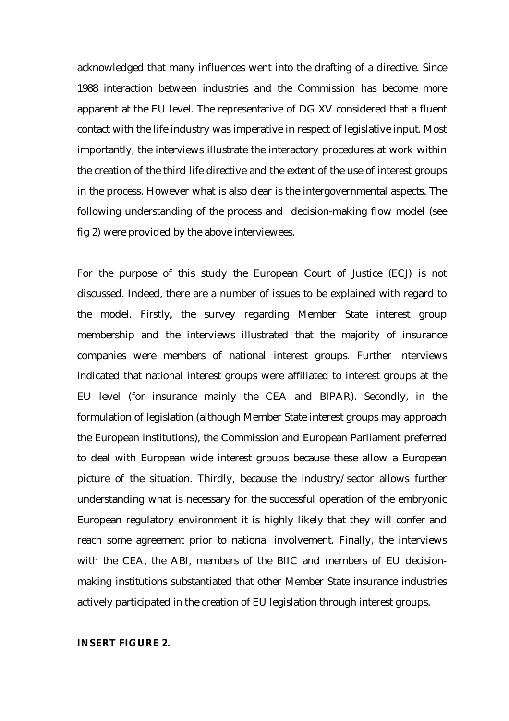acknowledged that many influences went into the drafting of a directive. Since 1988 interaction between industries and the Commission has become more apparent at the EU level. The representative of DG XV considered that a fluent contact with the life industry was imperative in respect of legislative input. Most importantly, the interviews illustrate the interactory procedures at work within the creation of the third life directive and the extent of the use of interest groups in the process. However what is also clear is the intergovernmental aspects. The following understanding of the process and decision-making flow model (see fig 2) were provided by the above interviewees.

For the purpose of this study the European Court of Justice (ECJ) is not discussed. Indeed, there are a number of issues to be explained with regard to the model. Firstly, the survey regarding Member State interest group membership and the interviews illustrated that the majority of insurance companies were members of national interest groups. Further interviews indicated that national interest groups were affiliated to interest groups at the EU level (for insurance mainly the CEA and BIPAR). Secondly, in the formulation of legislation (although Member State interest groups may approach the European institutions), the Commission and European Parliament preferred to deal with European wide interest groups because these allow a European picture of the situation. Thirdly, because the industry/sector allows further understanding what is necessary for the successful operation of the embryonic European regulatory environment it is highly likely that they will confer and reach some agreement prior to national involvement. Finally, the interviews with the CEA, the ABI, members of the BIIC and members of EU decisionmaking institutions substantiated that other Member State insurance industries actively participated in the creation of EU legislation through interest groups.

#### **INSERT FIGURE 2.**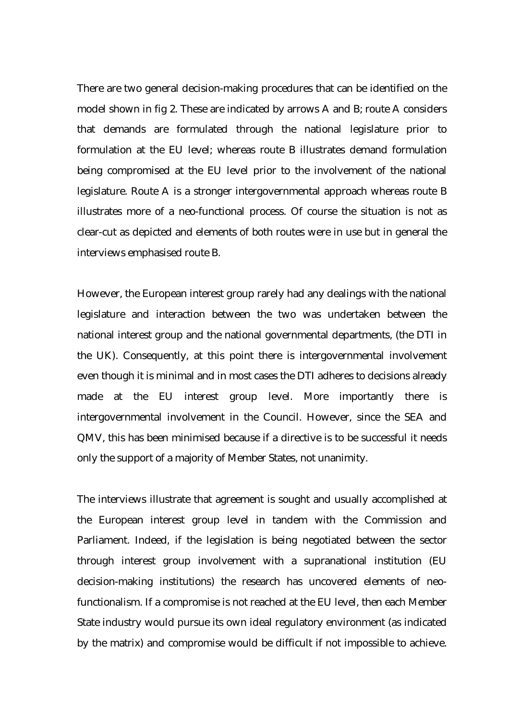There are two general decision-making procedures that can be identified on the model shown in fig 2. These are indicated by arrows A and B; route A considers that demands are formulated through the national legislature prior to formulation at the EU level; whereas route B illustrates demand formulation being compromised at the EU level prior to the involvement of the national legislature. Route A is a stronger intergovernmental approach whereas route B illustrates more of a neo-functional process. Of course the situation is not as clear-cut as depicted and elements of both routes were in use but in general the interviews emphasised route B.

However, the European interest group rarely had any dealings with the national legislature and interaction between the two was undertaken between the national interest group and the national governmental departments, (the DTI in the UK). Consequently, at this point there is intergovernmental involvement even though it is minimal and in most cases the DTI adheres to decisions already made at the EU interest group level. More importantly there is intergovernmental involvement in the Council. However, since the SEA and QMV, this has been minimised because if a directive is to be successful it needs only the support of a majority of Member States, not unanimity.

The interviews illustrate that agreement is sought and usually accomplished at the European interest group level in tandem with the Commission and Parliament. Indeed, if the legislation is being negotiated between the sector through interest group involvement with a supranational institution (EU decision-making institutions) the research has uncovered elements of neofunctionalism. If a compromise is not reached at the EU level, then each Member State industry would pursue its own ideal regulatory environment (as indicated by the matrix) and compromise would be difficult if not impossible to achieve.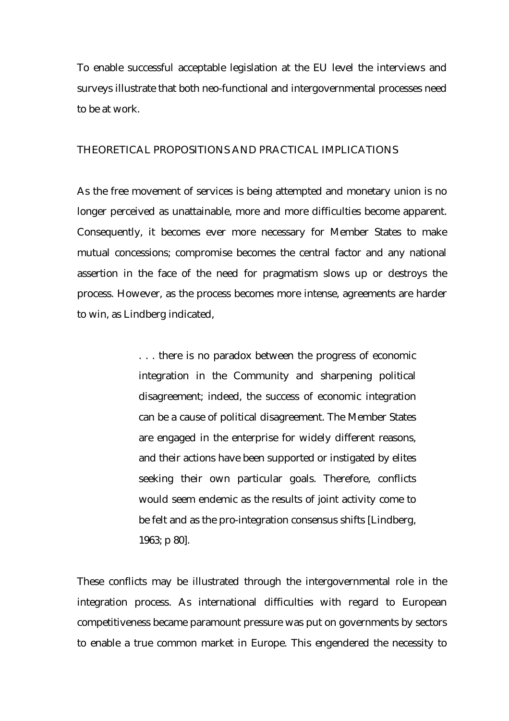To enable successful acceptable legislation at the EU level the interviews and surveys illustrate that both neo-functional and intergovernmental processes need to be at work.

#### THEORETICAL PROPOSITIONS AND PRACTICAL IMPLICATIONS

As the free movement of services is being attempted and monetary union is no longer perceived as unattainable, more and more difficulties become apparent. Consequently, it becomes ever more necessary for Member States to make mutual concessions; compromise becomes the central factor and any national assertion in the face of the need for pragmatism slows up or destroys the process. However, as the process becomes more intense, agreements are harder to win, as Lindberg indicated,

> . . . there is no paradox between the progress of economic integration in the Community and sharpening political disagreement; indeed, the success of economic integration can be a cause of political disagreement. The Member States are engaged in the enterprise for widely different reasons, and their actions have been supported or instigated by elites seeking their own particular goals. Therefore, conflicts would seem endemic as the results of joint activity come to be felt and as the pro-integration consensus shifts [Lindberg, 1963; p 80].

These conflicts may be illustrated through the intergovernmental role in the integration process. As international difficulties with regard to European competitiveness became paramount pressure was put on governments by sectors to enable a true common market in Europe. This engendered the necessity to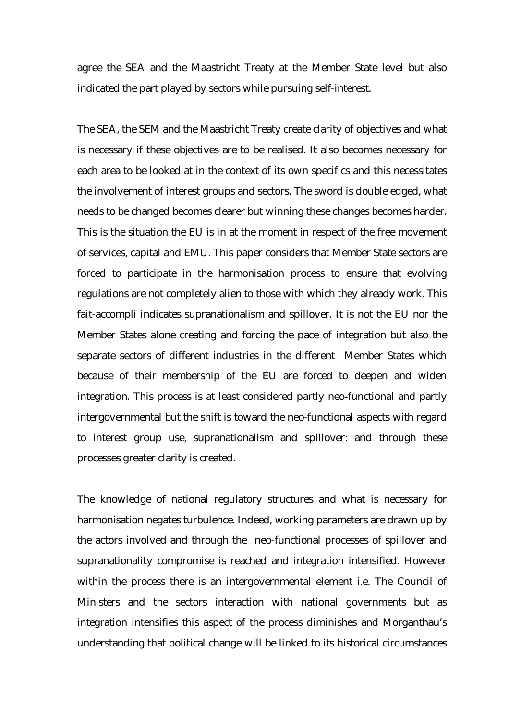agree the SEA and the Maastricht Treaty at the Member State level but also indicated the part played by sectors while pursuing self-interest.

The SEA, the SEM and the Maastricht Treaty create clarity of objectives and what is necessary if these objectives are to be realised. It also becomes necessary for each area to be looked at in the context of its own specifics and this necessitates the involvement of interest groups and sectors. The sword is double edged, what needs to be changed becomes clearer but winning these changes becomes harder. This is the situation the EU is in at the moment in respect of the free movement of services, capital and EMU. This paper considers that Member State sectors are forced to participate in the harmonisation process to ensure that evolving regulations are not completely alien to those with which they already work. This fait-accompli indicates supranationalism and spillover. It is not the EU nor the Member States alone creating and forcing the pace of integration but also the separate sectors of different industries in the different Member States which because of their membership of the EU are forced to deepen and widen integration. This process is at least considered partly neo-functional and partly intergovernmental but the shift is toward the neo-functional aspects with regard to interest group use, supranationalism and spillover: and through these processes greater clarity is created.

The knowledge of national regulatory structures and what is necessary for harmonisation negates turbulence. Indeed, working parameters are drawn up by the actors involved and through the neo-functional processes of spillover and supranationality compromise is reached and integration intensified. However within the process there is an intergovernmental element i.e. The Council of Ministers and the sectors interaction with national governments but as integration intensifies this aspect of the process diminishes and Morganthau's understanding that political change will be linked to its historical circumstances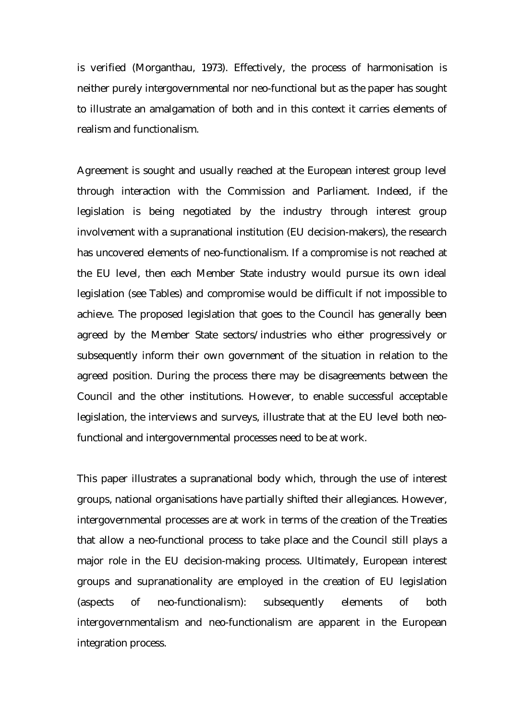is verified (Morganthau, 1973). Effectively, the process of harmonisation is neither purely intergovernmental nor neo-functional but as the paper has sought to illustrate an amalgamation of both and in this context it carries elements of realism and functionalism.

Agreement is sought and usually reached at the European interest group level through interaction with the Commission and Parliament. Indeed, if the legislation is being negotiated by the industry through interest group involvement with a supranational institution (EU decision-makers), the research has uncovered elements of neo-functionalism. If a compromise is not reached at the EU level, then each Member State industry would pursue its own ideal legislation (see Tables) and compromise would be difficult if not impossible to achieve. The proposed legislation that goes to the Council has generally been agreed by the Member State sectors/industries who either progressively or subsequently inform their own government of the situation in relation to the agreed position. During the process there may be disagreements between the Council and the other institutions. However, to enable successful acceptable legislation, the interviews and surveys, illustrate that at the EU level both neofunctional and intergovernmental processes need to be at work.

This paper illustrates a supranational body which, through the use of interest groups, national organisations have partially shifted their allegiances. However, intergovernmental processes are at work in terms of the creation of the Treaties that allow a neo-functional process to take place and the Council still plays a major role in the EU decision-making process. Ultimately, European interest groups and supranationality are employed in the creation of EU legislation (aspects of neo-functionalism): subsequently elements of both intergovernmentalism and neo-functionalism are apparent in the European integration process.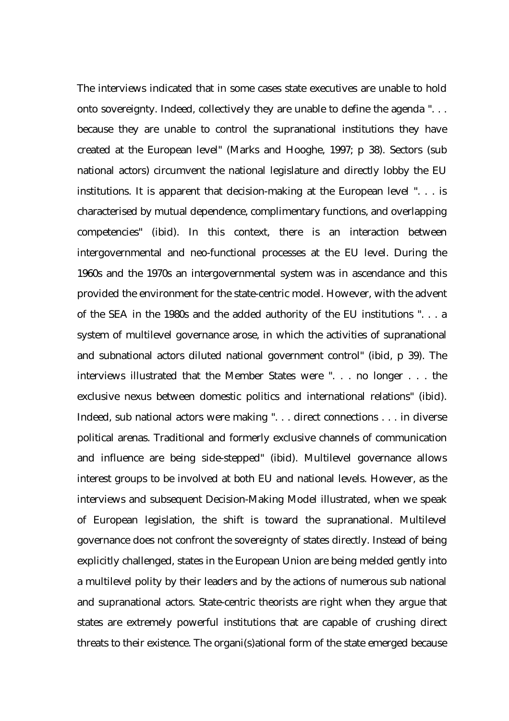The interviews indicated that in some cases state executives are unable to hold onto sovereignty. Indeed, collectively they are unable to define the agenda ". . . because they are unable to control the supranational institutions they have created at the European level" (Marks and Hooghe, 1997; p 38). Sectors (sub national actors) circumvent the national legislature and directly lobby the EU institutions. It is apparent that decision-making at the European level ". . . is characterised by mutual dependence, complimentary functions, and overlapping competencies" (ibid). In this context, there is an interaction between intergovernmental and neo-functional processes at the EU level. During the 1960s and the 1970s an intergovernmental system was in ascendance and this provided the environment for the state-centric model. However, with the advent of the SEA in the 1980s and the added authority of the EU institutions ". . . a system of multilevel governance arose, in which the activities of supranational and subnational actors diluted national government control" (ibid, p 39). The interviews illustrated that the Member States were ". . . no longer . . . the exclusive nexus between domestic politics and international relations" (ibid). Indeed, sub national actors were making ". . . direct connections . . . in diverse political arenas. Traditional and formerly exclusive channels of communication and influence are being side-stepped" (ibid). Multilevel governance allows interest groups to be involved at both EU and national levels. However, as the interviews and subsequent Decision-Making Model illustrated, when we speak of European legislation, the shift is toward the supranational. Multilevel governance does not confront the sovereignty of states directly. Instead of being explicitly challenged, states in the European Union are being melded gently into a multilevel polity by their leaders and by the actions of numerous sub national and supranational actors. State-centric theorists are right when they argue that states are extremely powerful institutions that are capable of crushing direct threats to their existence. The organi(s)ational form of the state emerged because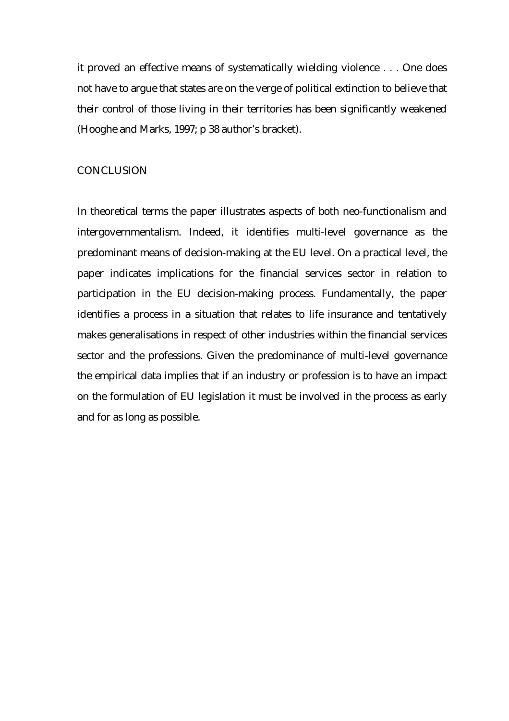it proved an effective means of systematically wielding violence . . . One does not have to argue that states are on the verge of political extinction to believe that their control of those living in their territories has been significantly weakened (Hooghe and Marks, 1997; p 38 author's bracket).

#### **CONCLUSION**

In theoretical terms the paper illustrates aspects of both neo-functionalism and intergovernmentalism. Indeed, it identifies multi-level governance as the predominant means of decision-making at the EU level. On a practical level, the paper indicates implications for the financial services sector in relation to participation in the EU decision-making process. Fundamentally, the paper identifies a process in a situation that relates to life insurance and tentatively makes generalisations in respect of other industries within the financial services sector and the professions. Given the predominance of multi-level governance the empirical data implies that if an industry or profession is to have an impact on the formulation of EU legislation it must be involved in the process as early and for as long as possible.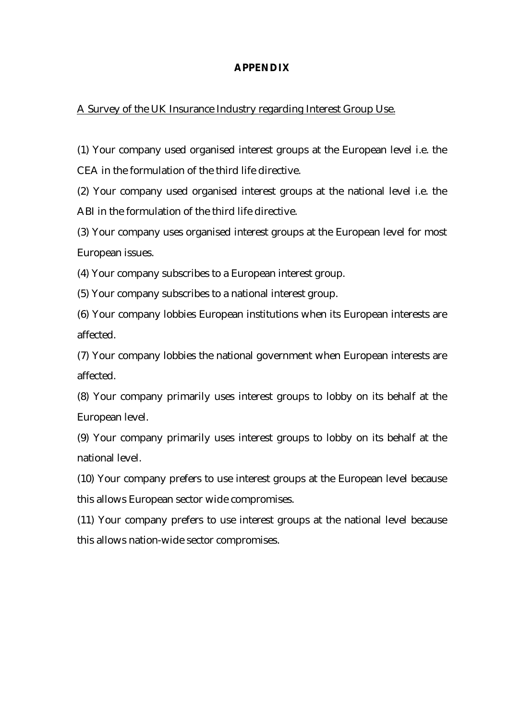#### **APPENDIX**

#### A Survey of the UK Insurance Industry regarding Interest Group Use.

(1) Your company used organised interest groups at the European level i.e. the CEA in the formulation of the third life directive.

(2) Your company used organised interest groups at the national level i.e. the ABI in the formulation of the third life directive.

(3) Your company uses organised interest groups at the European level for most European issues.

(4) Your company subscribes to a European interest group.

(5) Your company subscribes to a national interest group.

(6) Your company lobbies European institutions when its European interests are affected.

(7) Your company lobbies the national government when European interests are affected.

(8) Your company primarily uses interest groups to lobby on its behalf at the European level.

(9) Your company primarily uses interest groups to lobby on its behalf at the national level.

(10) Your company prefers to use interest groups at the European level because this allows European sector wide compromises.

(11) Your company prefers to use interest groups at the national level because this allows nation-wide sector compromises.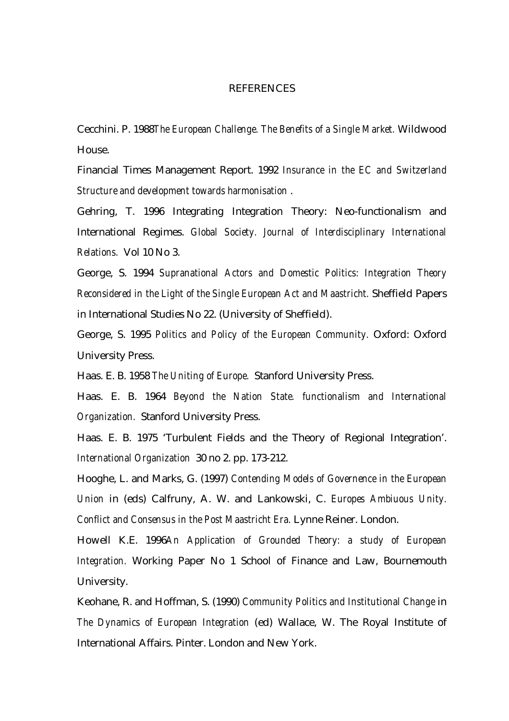#### **REFERENCES**

Cecchini. P. 1988*The European Challenge. The Benefits of a Single Market.* Wildwood House.

Financial Times Management Report. 1992 *Insurance in the EC and Switzerland Structure and development towards harmonisation* .

Gehring, T. 1996 Integrating Integration Theory: Neo-functionalism and International Regimes. *Global Society. Journal of Interdisciplinary International Relations.* Vol 10 No 3.

George, S. 1994 *Supranational Actors and Domestic Politics: Integration Theory Reconsidered in the Light of the Single European Act and Maastricht.* Sheffield Papers in International Studies No 22. (University of Sheffield).

George, S. 1995 *Politics and Policy of the European Community.* Oxford: Oxford University Press.

Haas. E. B. 1958 *The Uniting of Europe.* Stanford University Press.

Haas. E. B. 1964 *Beyond the Nation State. functionalism and International Organization.* Stanford University Press.

Haas. E. B. 1975 'Turbulent Fields and the Theory of Regional Integration'. *International Organization* 30 no 2. pp. 173-212.

Hooghe, L. and Marks, G. (1997) *Contending Models of Governence in the European Union* in (eds) Calfruny, A. W. and Lankowski, C. *Europes Ambiuous Unity. Conflict and Consensus in the Post Maastricht Era.* Lynne Reiner. London.

Howell K.E. 1996*An Application of Grounded Theory: a study of European Integration.* Working Paper No 1 School of Finance and Law, Bournemouth University.

Keohane, R. and Hoffman, S. (1990) *Community Politics and Institutional Change* in *The Dynamics of European Integration* (ed) Wallace, W. The Royal Institute of International Affairs. Pinter. London and New York.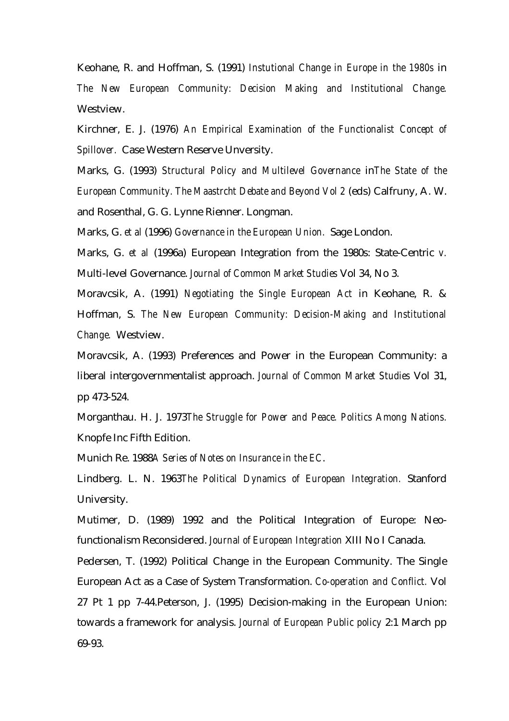Keohane, R. and Hoffman, S. (1991) *Instutional Change in Europe in the 1980s* in *The New European Community: Decision Making and Institutional Change.* Westview.

Kirchner, E. J. (1976) *An Empirical Examination of the Functionalist Concept of Spillover.* Case Western Reserve Unversity.

Marks, G. (1993) *Structural Policy and Multilevel Governance* in*The State of the European Community. The Maastrcht Debate and Beyond Vol 2* (eds) Calfruny, A. W. and Rosenthal, G. G. Lynne Rienner. Longman.

Marks, G. *et al* (1996) *Governance in the European Union.* Sage London.

Marks, G. *et al* (1996a) European Integration from the 1980s: State-Centric *v.* Multi-level Governance. *Journal of Common Market Studies* Vol 34, No 3.

Moravcsik, A. (1991) *Negotiating the Single European Act* in Keohane, R. & Hoffman, S. *The New European Community: Decision-Making and Institutional Change.* Westview.

Moravcsik, A. (1993) Preferences and Power in the European Community: a liberal intergovernmentalist approach. *Journal of Common Market Studies* Vol 31, pp 473-524.

Morganthau. H. J. 1973*The Struggle for Power and Peace. Politics Among Nations.* Knopfe Inc Fifth Edition.

Munich Re. 1988*A Series of Notes on Insurance in the EC*.

Lindberg. L. N. 1963*The Political Dynamics of European Integration.* Stanford University.

Mutimer, D. (1989) 1992 and the Political Integration of Europe: Neofunctionalism Reconsidered. *Journal of European Integration* XIII No I Canada.

Pedersen, T. (1992) Political Change in the European Community. The Single European Act as a Case of System Transformation. *Co-operation and Conflict.* Vol 27 Pt 1 pp 7-44.Peterson, J. (1995) Decision-making in the European Union: towards a framework for analysis. *Journal of European Public policy* 2:1 March pp 69-93.